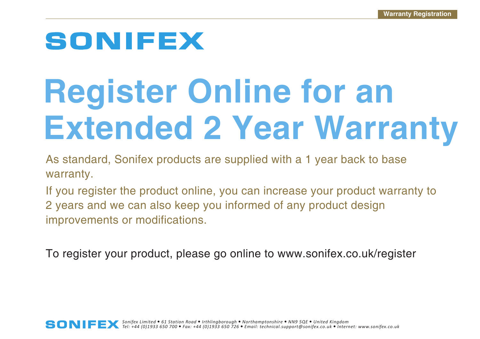# **SONIFEX**

# **Register Online for an Extended 2 Year Warranty**

As standard, Sonifex products are supplied with a 1 year back to base warranty.

If you register the product online, you can increase your product warranty to 2 years and we can also keep you informed of any product design improvements or modifications.

To register your product, please go online to www.sonifex.co.uk/register